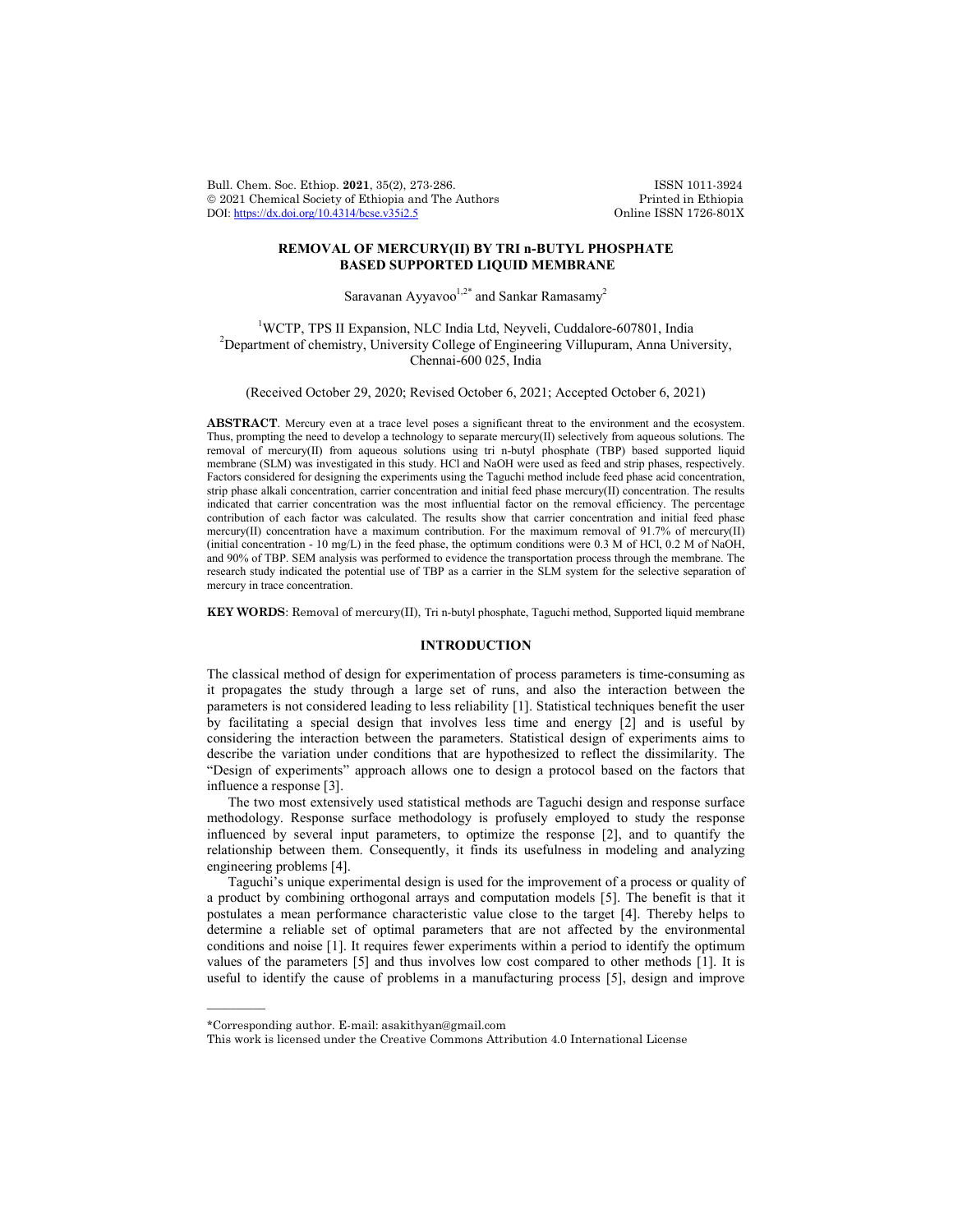Bull. Chem. Soc. Ethiop. 2021, 35(2), 273-286. ISSN 1011-3924<br>
© 2021 Chemical Society of Ethiopia and The Authors Printed in Ethiopia  $\circ$  2021 Chemical Society of Ethiopia and The Authors Printed in Ethiopia DOI: https://dx.doi.org/10.4314/bcse.v35i2.5 Online ISSN 1726-801X DOI:  $\frac{https://dx.doi.org/10.4314/base.v35i2.5}{https://dx.doi.org/10.4314/base.v35i2.5}$ 

# **REMOVAL OF MERCURY(II) BY TRI n-BUTYL PHOSPHATE BASED SUPPORTED LIQUID MEMBRANE**

Saravanan Ayyavoo $1,2^*$  and Sankar Ramasamy<sup>2</sup>

<sup>1</sup>WCTP, TPS II Expansion, NLC India Ltd, Neyveli, Cuddalore-607801, India<sup>2</sup><br><sup>2</sup>Department of shamistry, University College of Engineering Villumuram, Anna Unive <sup>2</sup>Department of chemistry, University College of Engineering Villupuram, Anna University, Chennai-600 025, India

(Received October 29, 2020; Revised October 6, 2021; Accepted October 6, 2021)

**ABSTRACT**. Mercury even at a trace level poses a significant threat to the environment and the ecosystem. Thus, prompting the need to develop a technology to separate mercury(II) selectively from aqueous solutions. The removal of mercury(II) from aqueous solutions using tri n-butyl phosphate (TBP) based supported liquid membrane (SLM) was investigated in this study. HCl and NaOH were used as feed and strip phases, respectively. Factors considered for designing the experiments using the Taguchi method include feed phase acid concentration, strip phase alkali concentration, carrier concentration and initial feed phase mercury(II) concentration. The results indicated that carrier concentration was the most influential factor on the removal efficiency. The percentage contribution of each factor was calculated. The results show that carrier concentration and initial feed phase mercury(II) concentration have a maximum contribution. For the maximum removal of 91.7% of mercury(II) (initial concentration - 10 mg/L) in the feed phase, the optimum conditions were 0.3 M of HCl, 0.2 M of NaOH, and 90% of TBP. SEM analysis was performed to evidence the transportation process through the membrane. The research study indicated the potential use of TBP as a carrier in the SLM system for the selective separation of mercury in trace concentration.

**KEY WORDS**: Removal of mercury(II), Tri n-butyl phosphate, Taguchi method, Supported liquid membrane

# **INTRODUCTION**

The classical method of design for experimentation of process parameters is time-consuming as it propagates the study through a large set of runs, and also the interaction between the parameters is not considered leading to less reliability [1]. Statistical techniques benefit the user by facilitating a special design that involves less time and energy [2] and is useful by considering the interaction between the parameters. Statistical design of experiments aims to describe the variation under conditions that are hypothesized to reflect the dissimilarity. The "Design of experiments" approach allows one to design a protocol based on the factors that influence a response [3].

The two most extensively used statistical methods are Taguchi design and response surface methodology. Response surface methodology is profusely employed to study the response influenced by several input parameters, to optimize the response [2], and to quantify the relationship between them. Consequently, it finds its usefulness in modeling and analyzing engineering problems [4].

Taguchi's unique experimental design is used for the improvement of a process or quality of a product by combining orthogonal arrays and computation models [5]. The benefit is that it postulates a mean performance characteristic value close to the target [4]. Thereby helps to determine a reliable set of optimal parameters that are not affected by the environmental conditions and noise [1]. It requires fewer experiments within a period to identify the optimum values of the parameters [5] and thus involves low cost compared to other methods [1]. It is useful to identify the cause of problems in a manufacturing process [5], design and improve

 $\overline{\phantom{a}}$ 

<sup>\*</sup>Corresponding author. E-mail: asakithyan@gmail.com

This work is licensed under the Creative Commons Attribution 4.0 International License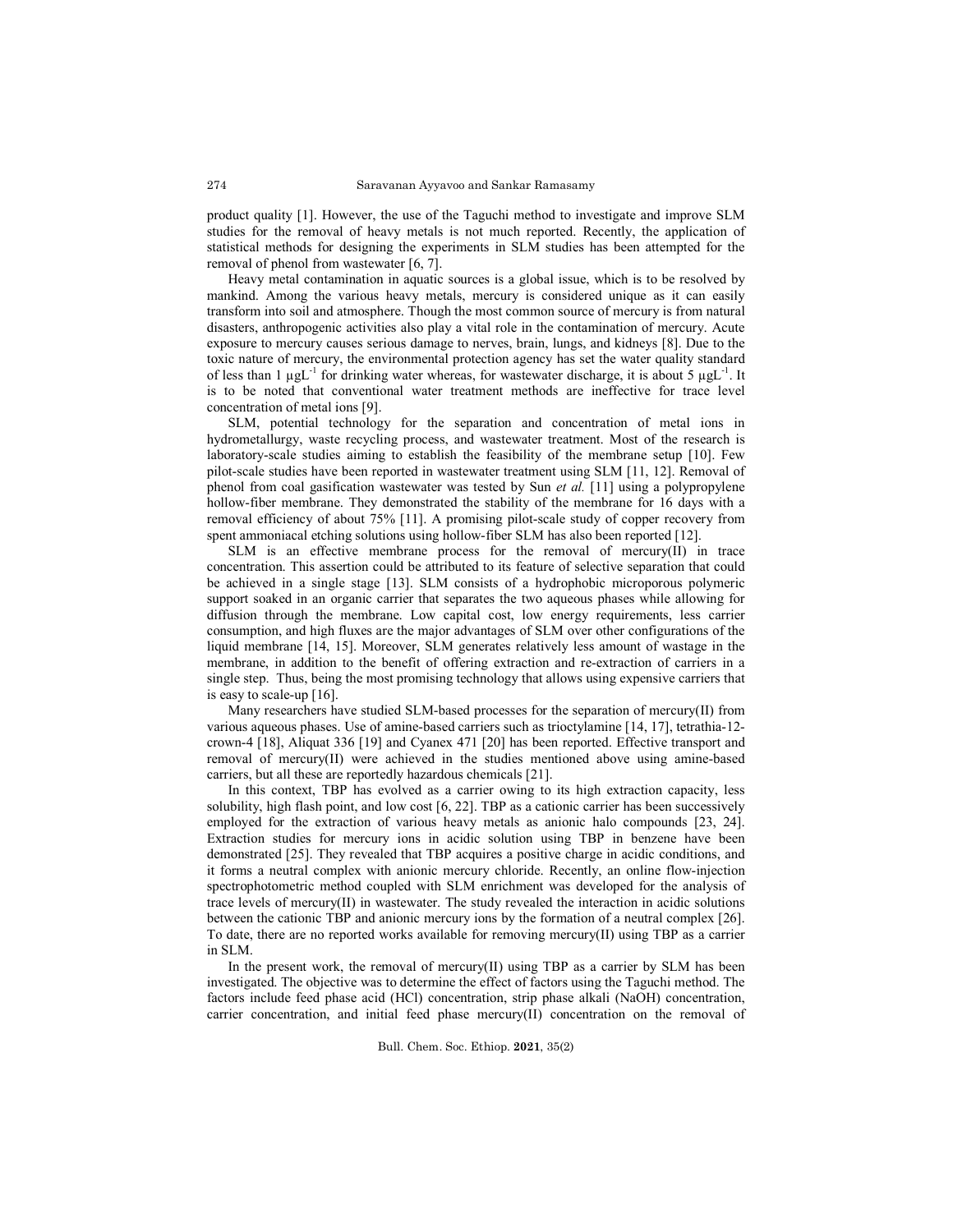product quality [1]. However, the use of the Taguchi method to investigate and improve SLM studies for the removal of heavy metals is not much reported. Recently, the application of statistical methods for designing the experiments in SLM studies has been attempted for the removal of phenol from wastewater [6, 7].

Heavy metal contamination in aquatic sources is a global issue, which is to be resolved by mankind. Among the various heavy metals, mercury is considered unique as it can easily transform into soil and atmosphere. Though the most common source of mercury is from natural disasters, anthropogenic activities also play a vital role in the contamination of mercury. Acute exposure to mercury causes serious damage to nerves, brain, lungs, and kidneys [8]. Due to the toxic nature of mercury, the environmental protection agency has set the water quality standard of less than 1  $\mu gL^{-1}$  for drinking water whereas, for wastewater discharge, it is about 5  $\mu gL^{-1}$ . It is to be noted that conventional water treatment methods are ineffective for trace level concentration of metal ions [9].

SLM, potential technology for the separation and concentration of metal ions in hydrometallurgy, waste recycling process, and wastewater treatment. Most of the research is laboratory-scale studies aiming to establish the feasibility of the membrane setup [10]. Few pilot-scale studies have been reported in wastewater treatment using SLM [11, 12]. Removal of phenol from coal gasification wastewater was tested by Sun *et al.* [11] using a polypropylene hollow-fiber membrane. They demonstrated the stability of the membrane for 16 days with a removal efficiency of about 75% [11]. A promising pilot-scale study of copper recovery from spent ammoniacal etching solutions using hollow-fiber SLM has also been reported [12].

SLM is an effective membrane process for the removal of mercury(II) in trace concentration. This assertion could be attributed to its feature of selective separation that could be achieved in a single stage [13]. SLM consists of a hydrophobic microporous polymeric support soaked in an organic carrier that separates the two aqueous phases while allowing for diffusion through the membrane. Low capital cost, low energy requirements, less carrier consumption, and high fluxes are the major advantages of SLM over other configurations of the liquid membrane [14, 15]. Moreover, SLM generates relatively less amount of wastage in the membrane, in addition to the benefit of offering extraction and re-extraction of carriers in a single step. Thus, being the most promising technology that allows using expensive carriers that is easy to scale-up [16].

Many researchers have studied SLM-based processes for the separation of mercury(II) from various aqueous phases. Use of amine-based carriers such as trioctylamine [14, 17], tetrathia-12 crown-4 [18], Aliquat 336 [19] and Cyanex 471 [20] has been reported. Effective transport and removal of mercury(II) were achieved in the studies mentioned above using amine-based carriers, but all these are reportedly hazardous chemicals [21].

In this context, TBP has evolved as a carrier owing to its high extraction capacity, less solubility, high flash point, and low cost [6, 22]. TBP as a cationic carrier has been successively employed for the extraction of various heavy metals as anionic halo compounds [23, 24]. Extraction studies for mercury ions in acidic solution using TBP in benzene have been demonstrated [25]. They revealed that TBP acquires a positive charge in acidic conditions, and it forms a neutral complex with anionic mercury chloride. Recently, an online flow-injection spectrophotometric method coupled with SLM enrichment was developed for the analysis of trace levels of mercury(II) in wastewater. The study revealed the interaction in acidic solutions between the cationic TBP and anionic mercury ions by the formation of a neutral complex [26]. To date, there are no reported works available for removing mercury(II) using TBP as a carrier in SLM.

In the present work, the removal of mercury(II) using TBP as a carrier by SLM has been investigated. The objective was to determine the effect of factors using the Taguchi method. The factors include feed phase acid (HCl) concentration, strip phase alkali (NaOH) concentration, carrier concentration, and initial feed phase mercury(II) concentration on the removal of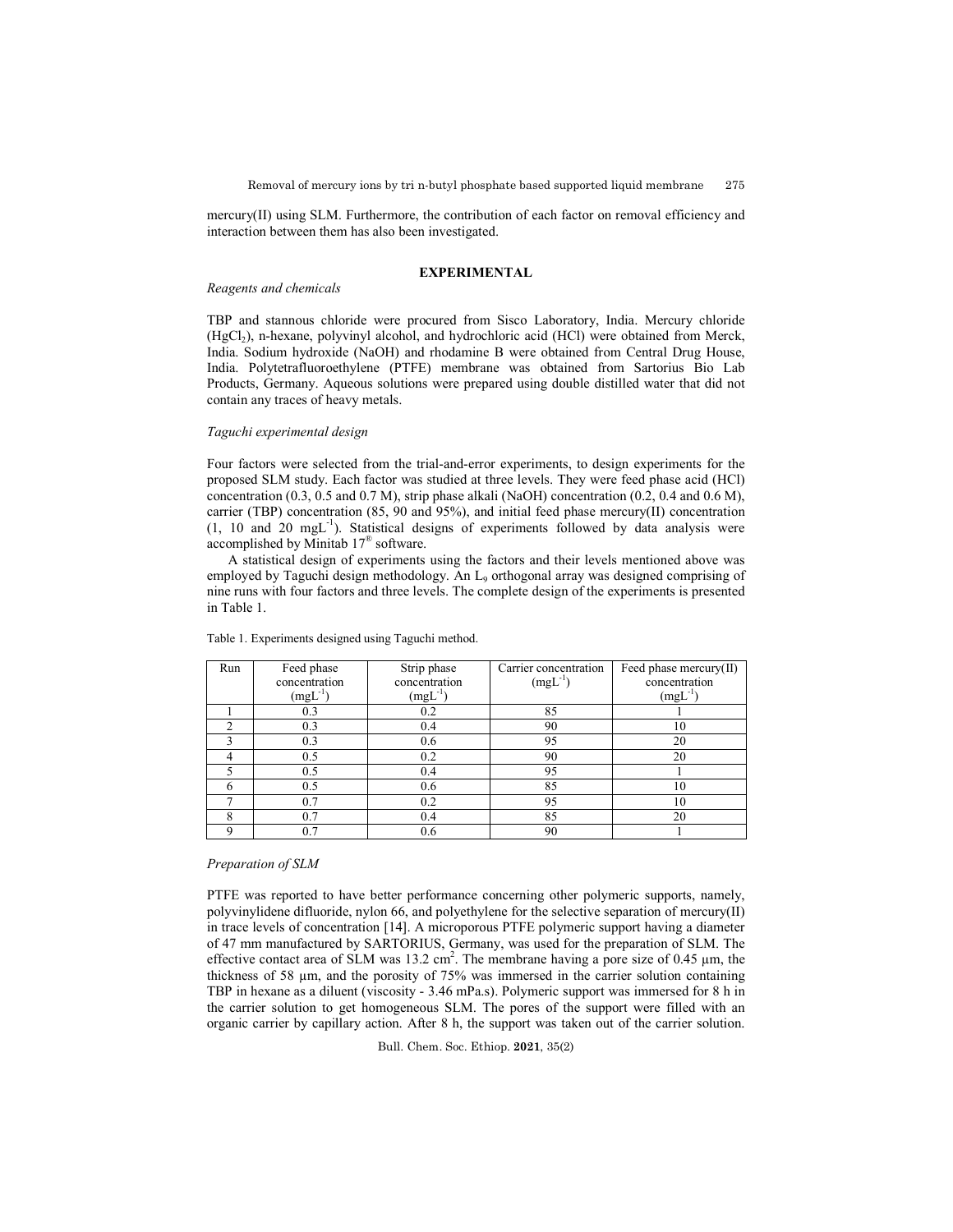mercury(II) using SLM. Furthermore, the contribution of each factor on removal efficiency and interaction between them has also been investigated.

# **EXPERIMENTAL**

## *Reagents and chemicals*

TBP and stannous chloride were procured from Sisco Laboratory, India. Mercury chloride (HgCl<sub>2</sub>), n-hexane, polyvinyl alcohol, and hydrochloric acid (HCl) were obtained from Merck, India. Sodium hydroxide (NaOH) and rhodamine B were obtained from Central Drug House, India. Polytetrafluoroethylene (PTFE) membrane was obtained from Sartorius Bio Lab Products, Germany. Aqueous solutions were prepared using double distilled water that did not contain any traces of heavy metals.

## *Taguchi experimental design*

Four factors were selected from the trial-and-error experiments, to design experiments for the proposed SLM study. Each factor was studied at three levels. They were feed phase acid (HCl) concentration (0.3, 0.5 and 0.7 M), strip phase alkali (NaOH) concentration (0.2, 0.4 and 0.6 M), carrier (TBP) concentration (85, 90 and 95%), and initial feed phase mercury(II) concentration (1, 10 and 20 mgL-1 ). Statistical designs of experiments followed by data analysis were accomplished by Minitab 17® software.

A statistical design of experiments using the factors and their levels mentioned above was employed by Taguchi design methodology. An L<sub>9</sub> orthogonal array was designed comprising of nine runs with four factors and three levels. The complete design of the experiments is presented in Table 1.

| Run | Feed phase    | Strip phase   | Carrier concentration | Feed phase mercury(II) |
|-----|---------------|---------------|-----------------------|------------------------|
|     | concentration | concentration | $(mgL^{-1})$          | concentration          |
|     | $(mgL^{-1})$  | $(mgL^{-1})$  |                       | $(mgL^{-1})$           |
|     | 0.3           | 0.2           | 85                    |                        |
|     | 0.3           | 0.4           | 90                    | 10                     |
|     | 0.3           | 0.6           | 95                    | 20                     |
|     | 0.5           | 0.2           | 90                    | 20                     |
|     | 0.5           | 0.4           | 95                    |                        |
|     | 0.5           | 0.6           | 85                    | 10                     |
|     | 0.7           | 0.2           | 95                    | 10                     |
|     | 0.7           | 0.4           | 85                    | 20                     |
|     | 0.7           | 0.6           | 90                    |                        |

Table 1. Experiments designed using Taguchi method.

## *Preparation of SLM*

PTFE was reported to have better performance concerning other polymeric supports, namely, polyvinylidene difluoride, nylon 66, and polyethylene for the selective separation of mercury(II) in trace levels of concentration [14]. A microporous PTFE polymeric support having a diameter of 47 mm manufactured by SARTORIUS, Germany, was used for the preparation of SLM. The effective contact area of SLM was 13.2 cm<sup>2</sup>. The membrane having a pore size of 0.45  $\mu$ m, the thickness of 58 µm, and the porosity of 75% was immersed in the carrier solution containing TBP in hexane as a diluent (viscosity - 3.46 mPa.s). Polymeric support was immersed for 8 h in the carrier solution to get homogeneous SLM. The pores of the support were filled with an organic carrier by capillary action. After 8 h, the support was taken out of the carrier solution.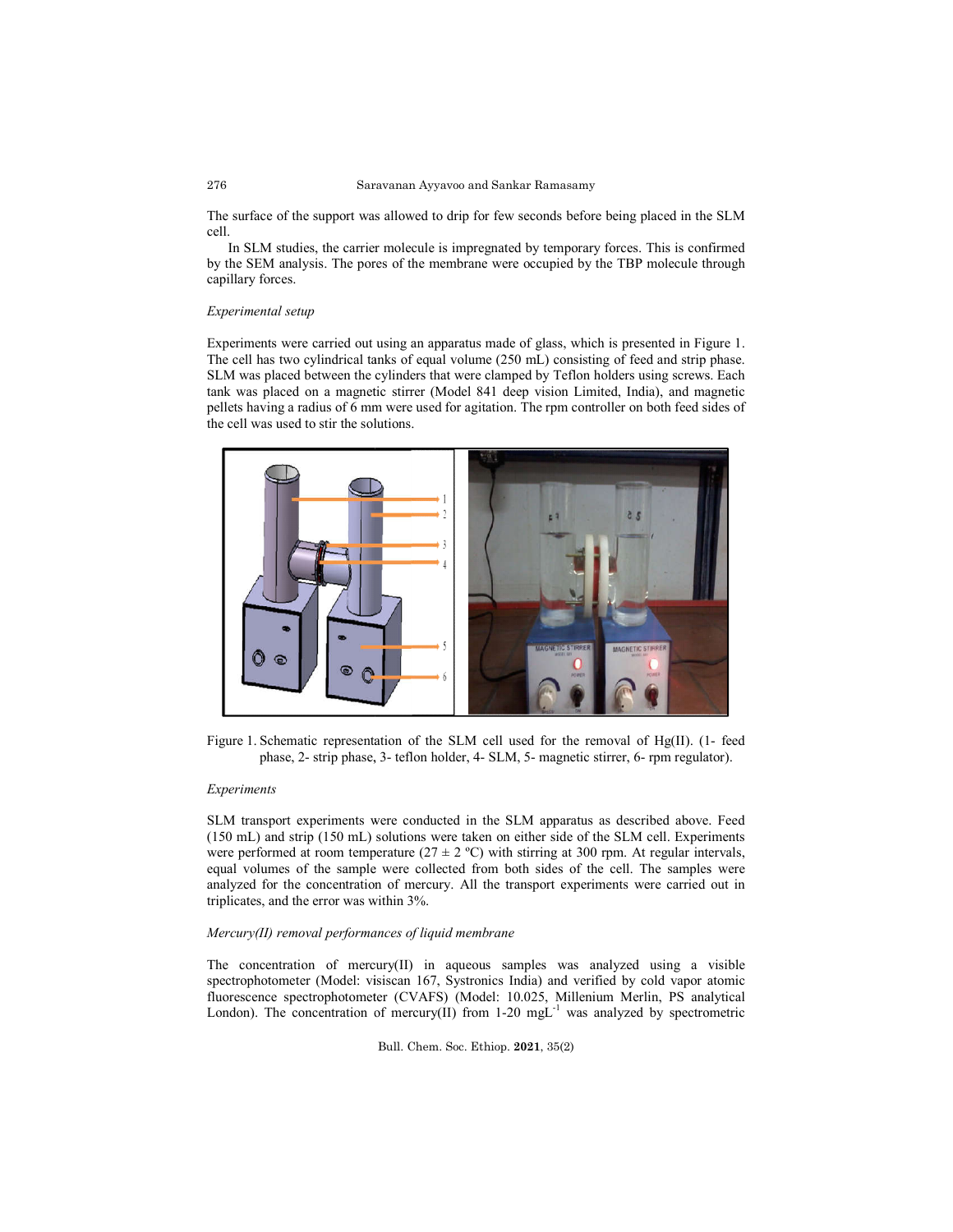#### 276 Saravanan Ayyavoo and Sankar Ramasamy

The surface of the support was allowed to drip for few seconds before being placed in the SLM cell.

In SLM studies, the carrier molecule is impregnated by temporary forces. This is confirmed by the SEM analysis. The pores of the membrane were occupied by the TBP molecule through capillary forces. surface of the support was allowed to drip for few seconds before being placed in the SLM<br>In SLM studies, the carrier molecule is impregnated by temporary forces. This is confirmed<br>the SEM analysis. The pores of the membra

### *Experimental setup*

Experiments were carried out using an apparatus made of glass, which is presented in Figure 1. Experiments were carried out using an apparatus made of glass, which is presented in Figure 1.<br>The cell has two cylindrical tanks of equal volume (250 mL) consisting of feed and strip phase. SLM was placed between the cylinders that were clamped by Teflon holders using screws. Each tank was placed on a magnetic stirrer (Model 841 deep vision Limited, India), and magnetic pellets having a radius of 6 mm were used for agitation. The rpm controller on both feed sides of the cell was used to stir the solutions.



Figure 1. Schematic representation of the SLM cell used for the removal of  $Hg(II)$ . (1) phase, 2- strip phase, 3- teflon holder, 4- SLM, 5- magnetic stirrer, 6- rpm regulator).

### *Experiments*

SLM transport experiments were conducted in the SLM apparatus as described above. Feed (150 mL) and strip (150 mL) solutions were taken on either side of the SLM cell. Experiments were performed at room temperature ( $27 \pm 2$  °C) with stirring at 300 rpm. At regular intervals, equal volumes of the sample were collected from both sides of the cell. The samples were analyzed for the concentration of mercury. All the transport experiments were carried out in triplicates, and the error was within 3%. analyzed for the concentration of mercury. All the transport experiments were carried out in<br>triplicates, and the error was within 3%.<br>Mercury(II) removal performances of liquid membrane<br>The concentration of mercury(II) in SLM transport experiments were conducted in the SLM apparatus as described above. Feed (150 mL) and strip (150 mL) solutions were taken on either side of the SLM cell. Experiments were performed at room temperature (27  $\$ transport experiments were conducted in the SLM apparatus as described above<br>nL) and strip (150 mL) solutions were taken on either side of the SLM cell. Exper<br>erformed at room temperature (27  $\pm$  2 °C) with stirring at 3

# *Mercury(II) removal performances of liquid membrane*

spectrophotometer (Model: visiscan 167, Systronics India) and verified by cold vapor atomic fluorescence spectrophotometer (CVAFS) (Model: 10.025, Millenium Merlin, PS analytical fluorescence spectrophotometer (CVAFS) (Model: 10.025, Millenium Merlin, PS analytical London). The concentration of mercury(II) from 1-20 mgL<sup>-1</sup> was analyzed by spectrometric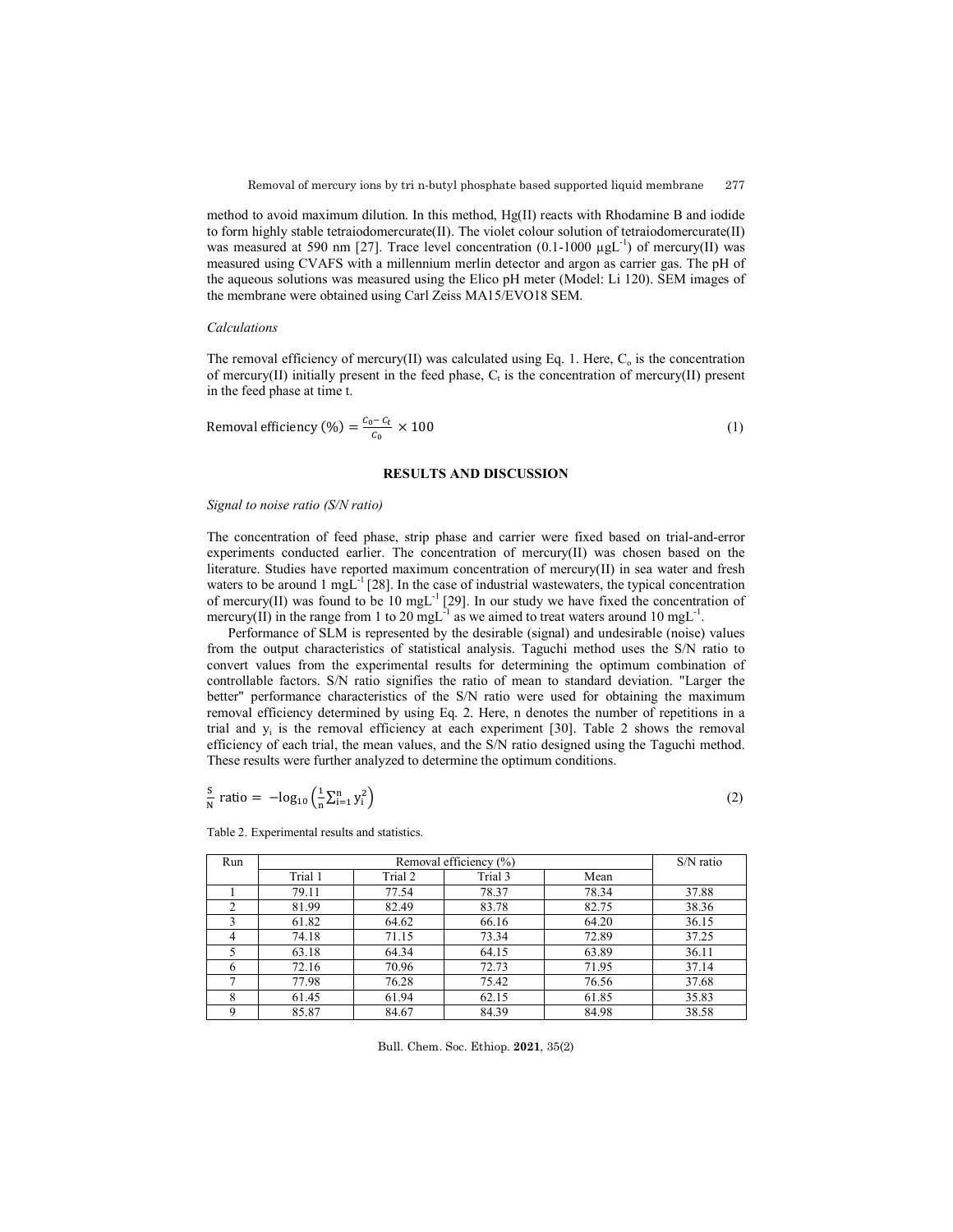method to avoid maximum dilution. In this method, Hg(II) reacts with Rhodamine B and iodide to form highly stable tetraiodomercurate(II). The violet colour solution of tetraiodomercurate(II) was measured at 590 nm [27]. Trace level concentration  $(0.1\t{-}1000 \ \mu gL^{-1})$  of mercury(II) was measured using CVAFS with a millennium merlin detector and argon as carrier gas. The pH of the aqueous solutions was measured using the Elico pH meter (Model: Li 120). SEM images of the membrane were obtained using Carl Zeiss MA15/EVO18 SEM.

### *Calculations*

The removal efficiency of mercury(II) was calculated using Eq. 1. Here,  $C_0$  is the concentration of mercury(II) initially present in the feed phase,  $C_t$  is the concentration of mercury(II) present in the feed phase at time t.

$$
Removal efficiency (\%) = \frac{c_0 - c_t}{c_0} \times 100
$$
\n(1)

## **RESULTS AND DISCUSSION**

#### *Signal to noise ratio (S/N ratio)*

The concentration of feed phase, strip phase and carrier were fixed based on trial-and-error experiments conducted earlier. The concentration of mercury(II) was chosen based on the literature. Studies have reported maximum concentration of mercury(II) in sea water and fresh waters to be around 1 mg $\overline{L}^{-1}$  [28]. In the case of industrial wastewaters, the typical concentration of mercury(II) was found to be 10 mgL<sup>-1</sup> [29]. In our study we have fixed the concentration of mercury(II) in the range from 1 to 20 mgL<sup>-1</sup> as we aimed to treat waters around 10 mgL<sup>-1</sup>.

Performance of SLM is represented by the desirable (signal) and undesirable (noise) values from the output characteristics of statistical analysis. Taguchi method uses the S/N ratio to convert values from the experimental results for determining the optimum combination of controllable factors. S/N ratio signifies the ratio of mean to standard deviation. "Larger the better" performance characteristics of the S/N ratio were used for obtaining the maximum removal efficiency determined by using Eq. 2. Here, n denotes the number of repetitions in a trial and  $y_i$  is the removal efficiency at each experiment [30]. Table 2 shows the removal efficiency of each trial, the mean values, and the S/N ratio designed using the Taguchi method. These results were further analyzed to determine the optimum conditions.

$$
\frac{S}{N} \text{ ratio} = -\log_{10} \left( \frac{1}{n} \sum_{i=1}^{n} y_i^2 \right) \tag{2}
$$

| Run           | Removal efficiency (%) |         |         |       | $S/N$ ratio |
|---------------|------------------------|---------|---------|-------|-------------|
|               | Trial 1                | Trial 2 | Trial 3 | Mean  |             |
|               | 79.11                  | 77.54   | 78.37   | 78.34 | 37.88       |
| $\mathcal{D}$ | 81.99                  | 82.49   | 83.78   | 82.75 | 38.36       |
|               | 61.82                  | 64.62   | 66.16   | 64.20 | 36.15       |
|               | 74.18                  | 71.15   | 73.34   | 72.89 | 37.25       |
|               | 63.18                  | 64.34   | 64.15   | 63.89 | 36.11       |
| h             | 72.16                  | 70.96   | 72.73   | 71.95 | 37.14       |
|               | 77.98                  | 76.28   | 75.42   | 76.56 | 37.68       |
| 8             | 61.45                  | 61.94   | 62.15   | 61.85 | 35.83       |
| $\Omega$      | 85.87                  | 84.67   | 84.39   | 84.98 | 38.58       |

Table 2. Experimental results and statistics.

Bull. Chem. Soc. Ethiop. **2021**, 35(2)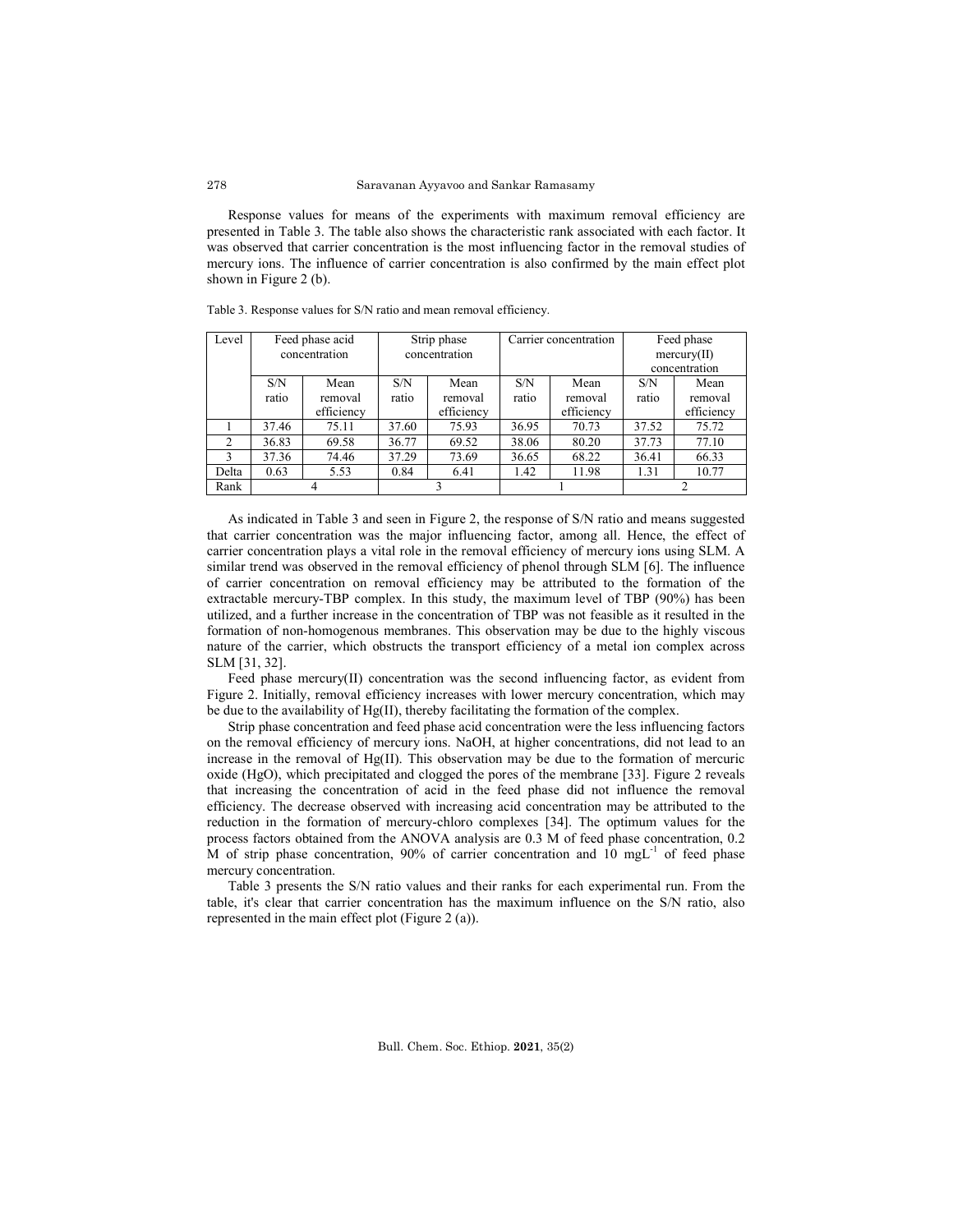Response values for means of the experiments with maximum removal efficiency are presented in Table 3. The table also shows the characteristic rank associated with each factor. It was observed that carrier concentration is the most influencing factor in the removal studies of mercury ions. The influence of carrier concentration is also confirmed by the main effect plot shown in Figure 2 (b).

| Level | Feed phase acid |            | Strip phase   |            | Carrier concentration |            | Feed phase                  |            |
|-------|-----------------|------------|---------------|------------|-----------------------|------------|-----------------------------|------------|
|       |                 |            |               |            |                       |            |                             |            |
|       | concentration   |            | concentration |            |                       |            | $\text{mercury}(\text{II})$ |            |
|       |                 |            |               |            |                       |            | concentration               |            |
|       |                 |            |               |            |                       |            |                             |            |
|       | S/N             | Mean       | S/N           | Mean       | S/N                   | Mean       | S/N                         | Mean       |
|       | ratio           | removal    | ratio         | removal    | ratio                 | removal    | ratio                       | removal    |
|       |                 | efficiency |               | efficiency |                       | efficiency |                             | efficiency |
|       | 37.46           | 75.11      | 37.60         | 75.93      | 36.95                 | 70.73      | 37.52                       | 75.72      |
| 2     | 36.83           | 69.58      | 36.77         | 69.52      | 38.06                 | 80.20      | 37.73                       | 77.10      |
| 3     | 37.36           | 74.46      | 37.29         | 73.69      | 36.65                 | 68.22      | 36.41                       | 66.33      |
| Delta | 0.63            | 5.53       | 0.84          | 6.41       | 1.42                  | 11.98      | 1.31                        | 10.77      |
| Rank  |                 |            |               |            |                       |            | ∍                           |            |

Table 3. Response values for S/N ratio and mean removal efficiency.

As indicated in Table 3 and seen in Figure 2, the response of S/N ratio and means suggested that carrier concentration was the major influencing factor, among all. Hence, the effect of carrier concentration plays a vital role in the removal efficiency of mercury ions using SLM. A similar trend was observed in the removal efficiency of phenol through SLM [6]. The influence of carrier concentration on removal efficiency may be attributed to the formation of the extractable mercury-TBP complex. In this study, the maximum level of TBP (90%) has been utilized, and a further increase in the concentration of TBP was not feasible as it resulted in the formation of non-homogenous membranes. This observation may be due to the highly viscous nature of the carrier, which obstructs the transport efficiency of a metal ion complex across SLM [31, 32].

Feed phase mercury(II) concentration was the second influencing factor, as evident from Figure 2. Initially, removal efficiency increases with lower mercury concentration, which may be due to the availability of Hg(II), thereby facilitating the formation of the complex.

Strip phase concentration and feed phase acid concentration were the less influencing factors on the removal efficiency of mercury ions. NaOH, at higher concentrations, did not lead to an increase in the removal of Hg(II). This observation may be due to the formation of mercuric oxide (HgO), which precipitated and clogged the pores of the membrane [33]. Figure 2 reveals that increasing the concentration of acid in the feed phase did not influence the removal efficiency. The decrease observed with increasing acid concentration may be attributed to the reduction in the formation of mercury-chloro complexes [34]. The optimum values for the process factors obtained from the ANOVA analysis are 0.3 M of feed phase concentration, 0.2 M of strip phase concentration, 90% of carrier concentration and  $10$  mgL $^{-1}$  of feed phase mercury concentration.

Table 3 presents the S/N ratio values and their ranks for each experimental run. From the table, it's clear that carrier concentration has the maximum influence on the S/N ratio, also represented in the main effect plot (Figure 2 (a)).

278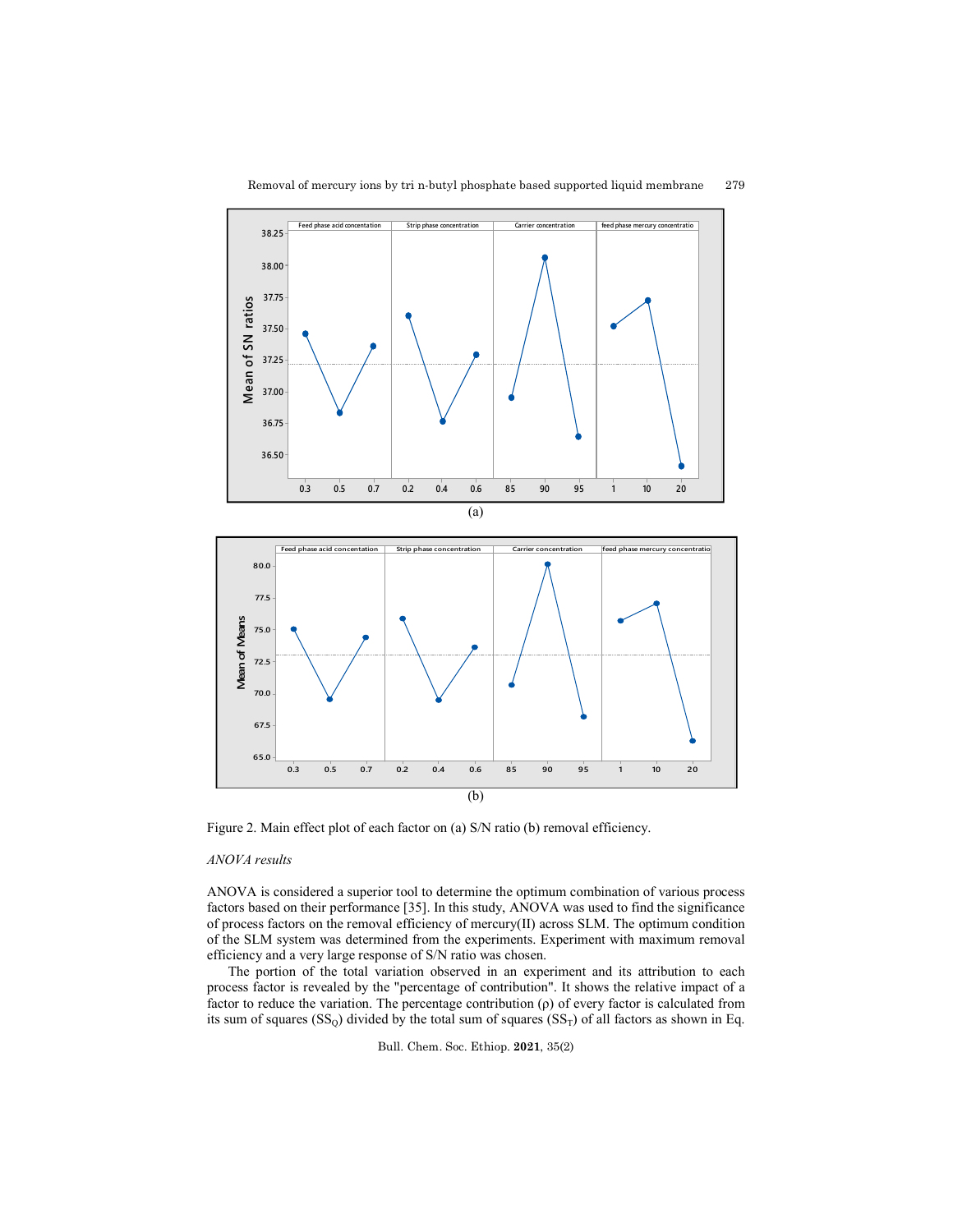



Figure 2. Main effect plot of each factor on (a) S/N ratio (b) removal efficiency.

# *ANOVA results*

ANOVA is considered a superior tool to determine the optimum combination of various process factors based on their performance [35]. In this study, ANOVA was used to find the significance of process factors on the removal efficiency of mercury(II) across SLM. The optimum condition of the SLM system was determined from the experiments. Experiment with maximum removal efficiency and a very large response of S/N ratio was chosen.

The portion of the total variation observed in an experiment and its attribution to each process factor is revealed by the "percentage of contribution". It shows the relative impact of a factor to reduce the variation. The percentage contribution (ρ) of every factor is calculated from its sum of squares  $(SS<sub>0</sub>)$  divided by the total sum of squares  $(SS<sub>T</sub>)$  of all factors as shown in Eq.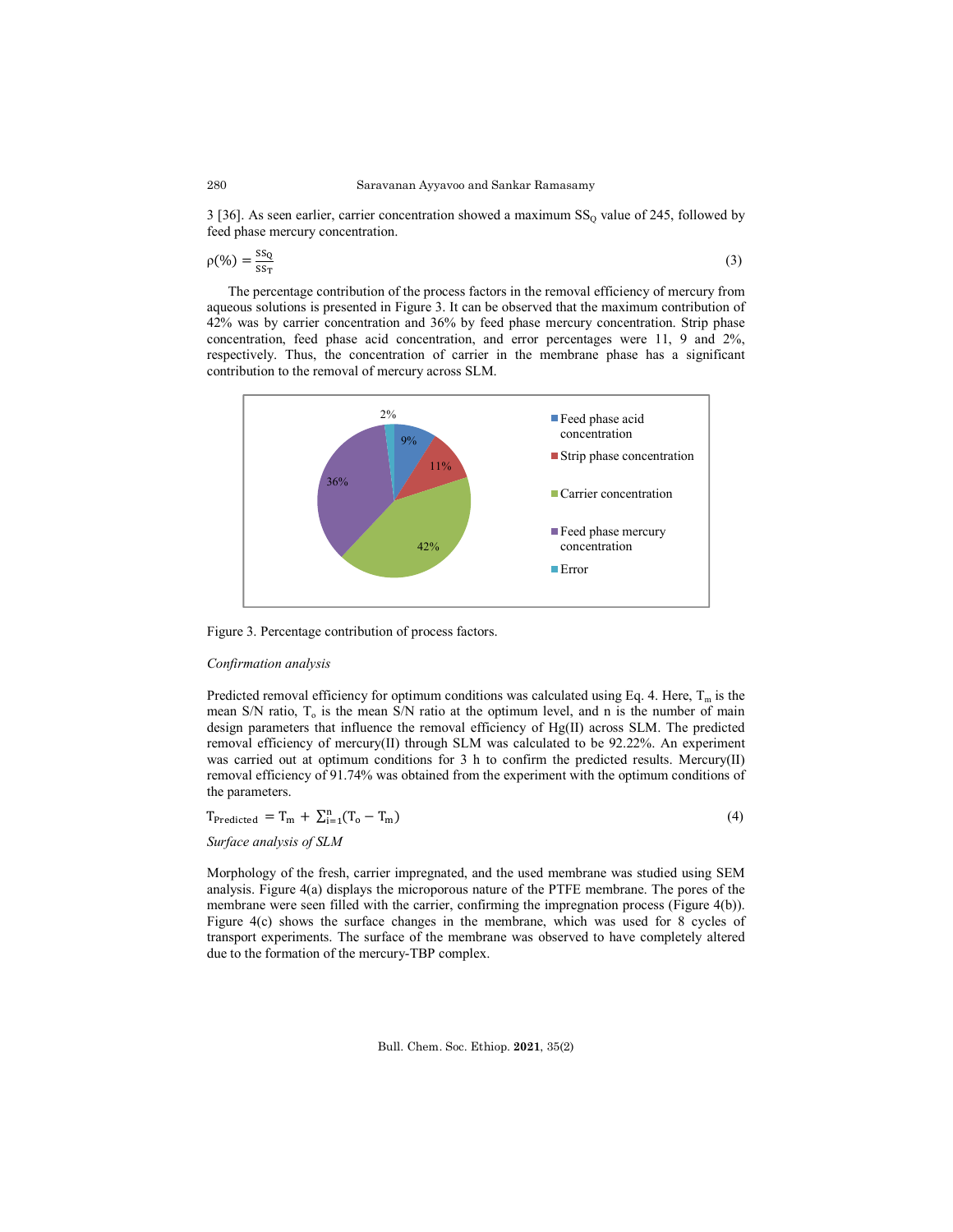$3$  [36]. As seen earlier, carrier concentration showed a maximum  $SS_0$  value of 245, followed by feed phase mercury concentration.

$$
\rho(\%) = \frac{\text{ss}_0}{\text{ss}_T} \tag{3}
$$

The percentage contribution of the process factors in the removal efficiency of mercury from aqueous solutions is presented in Figure 3. It can be observed that the maximum contribution of 42% was by carrier concentration and 36% by feed phase mercury concentration. Strip phase concentration, feed phase acid concentration, and error percentages were 11, 9 and 2%, respectively. Thus, the concentration of carrier in the membrane phase has a significant contribution to the removal of mercury across SLM.



Figure 3. Percentage contribution of process factors.

### *Confirmation analysis*

Predicted removal efficiency for optimum conditions was calculated using Eq. 4. Here,  $T_m$  is the mean S/N ratio,  $T<sub>o</sub>$  is the mean S/N ratio at the optimum level, and n is the number of main design parameters that influence the removal efficiency of Hg(II) across SLM. The predicted removal efficiency of mercury(II) through SLM was calculated to be 92.22%. An experiment was carried out at optimum conditions for 3 h to confirm the predicted results. Mercury(II) removal efficiency of 91.74% was obtained from the experiment with the optimum conditions of the parameters.

$$
T_{Predicted} = T_m + \sum_{i=1}^{n} (T_o - T_m)
$$
\n(4)

*Surface analysis of SLM*

Morphology of the fresh, carrier impregnated, and the used membrane was studied using SEM analysis. Figure 4(a) displays the microporous nature of the PTFE membrane. The pores of the membrane were seen filled with the carrier, confirming the impregnation process (Figure 4(b)). Figure 4(c) shows the surface changes in the membrane, which was used for 8 cycles of transport experiments. The surface of the membrane was observed to have completely altered due to the formation of the mercury-TBP complex.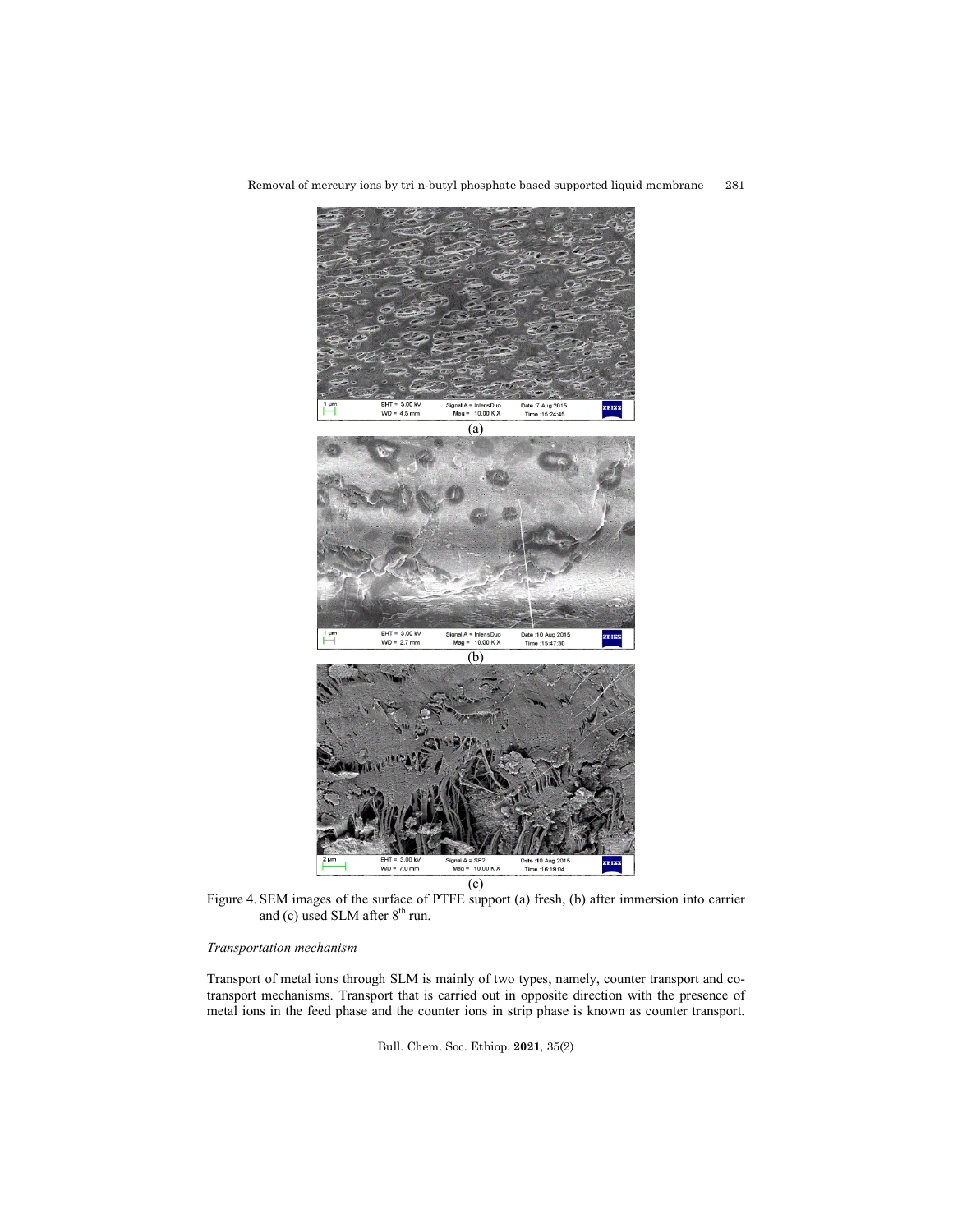Removal of mercury ions by tri n-butyl phosphate based supported liquid membrane 281



Figure 4. SEM images of the surface of PTFE support (a) fresh, (b) after immersion into carrier and (c) used SLM after 8<sup>th</sup> run.

# *Transportation mechanism*

Transport of metal ions through SLM is mainly of two types, namely, counter transport and cotransport mechanisms. Transport that is carried out in opposite direction with the presence of metal ions in the feed phase and the counter ions in strip phase is known as counter transport.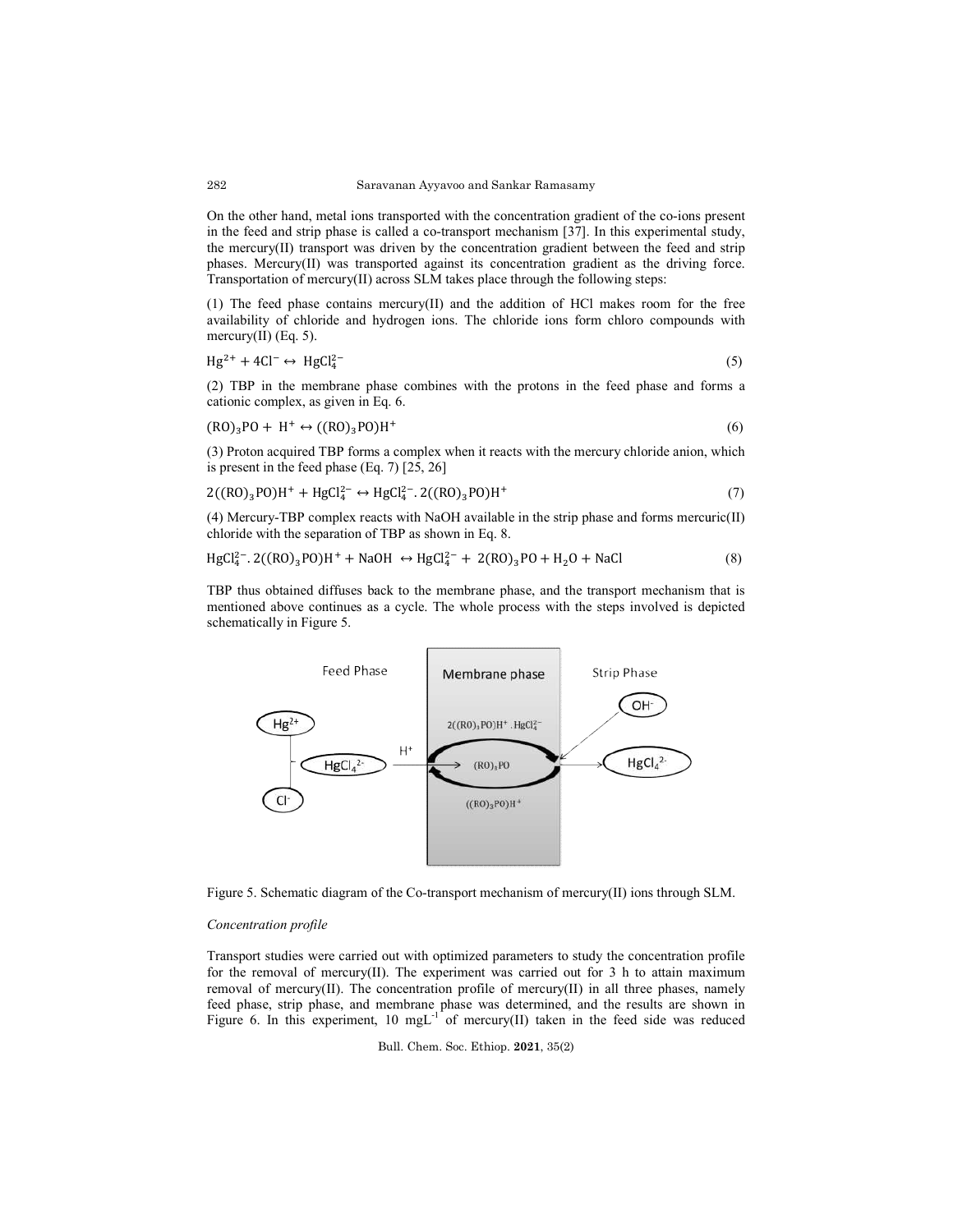On the other hand, metal ions transported with the concentration gradient of the co-ions present in the feed and strip phase is called a co-transport mechanism [37]. In this experimental study, the mercury(II) transport was driven by the concentration gradient between the feed and strip the mercury(II) transport was driven by the concentration gradient between the feed and strip phases. Mercury(II) was transported against its concentration gradient as the driving force. Transportation of mercury(II) across SLM takes place through the following steps: transported with the concentration gradient of the co-ions presen<br>called a co-transport mechanism [37]. In this experimental study<br>driven by the concentration gradient between the feed and strip<br>sported against its concent

 $(1)$  The feed phase contains mercury $(II)$  and the addition of HCl makes room for the free availability of chloride and hydrogen ions. The chloride ions form chloro compounds with mercury(II) (Eq. 5).

$$
Hg^{2+} + 4Cl^{-} \leftrightarrow HgCl_{4}^{2-} \tag{5}
$$

 $(2)$  TBP in the membrane phase combines with the protons in the feed phase and forms a cationic complex, as given in Eq. 6.

$$
(R0)_3P0 + H^+ \leftrightarrow ((R0)_3P0)H^+ \tag{6}
$$

(3) Proton acquired TBP forms a complex when it reacts with the mercury chloride anion, which<br>is present in the feed phase (Eq. 7) [25, 26]<br> $2((RO)_3PO)H^+ + HgCl_4^{2-} \leftrightarrow HgCl_4^{2-} \cdot 2((RO)_3PO)H^+$  (7) is present in the feed phase  $(Eq. 7)$   $[25, 26]$ 

$$
2((R0)_3P0)H^+ + HgCl_4^{2-} \leftrightarrow HgCl_4^{2-}.2((R0)_3P0)H^+ \tag{7}
$$

(4) Mercury-TBP complex reacts with NaOH available in the strip phase and forms mercuric(II)<br>chloride with the separation of TBP as shown in Eq. 8.<br> $HgCl_4^{2-}$ .  $2((RO)_3PO)H^+ + NaOH \leftrightarrow HgCl_4^{2-} + 2(RO)_3PO + H_2O + NaCl$  (8) chloride with the separation of TBP as shown in Eq. 8.

$$
HgCl42-.2((RO)3PO)H+ + NaOH \leftrightarrow HgCl42 + 2(RO)3PO + H2O + NaCl
$$
 (8)

TBP thus obtained diffuses back to the membrane phase, and the transport mechanism that is mentioned above continues as a cycle. The whole process with the steps involved is depicted schematically in Figure 5.



Figure 5. Schematic diagram of the Co-transport mechanism of mercury(II) ions through SLM

# *Concentration profile*

Transport studies were carried out with optimized parameters to study the concentration profile for the removal of mercury(II). The experiment was carried out for  $3 \text{ h}$  to attain maximum removal of mercury(II). The concentration profile of mercury(II) in all three phases, nam feed phase, strip phase, and membrane phase was determined, and the results are shown in feed phase, strip phase, and membrane phase was determined, and the results are shown in Figure 6. In this experiment, 10 mgL<sup>-1</sup> of mercury(II) taken in the feed side was reduced out with optimized parameters to study the concentration profile<br>). The experiment was carried out for 3 h to attain maximum<br>oncentration profile of mercury(II) in all three phases, namely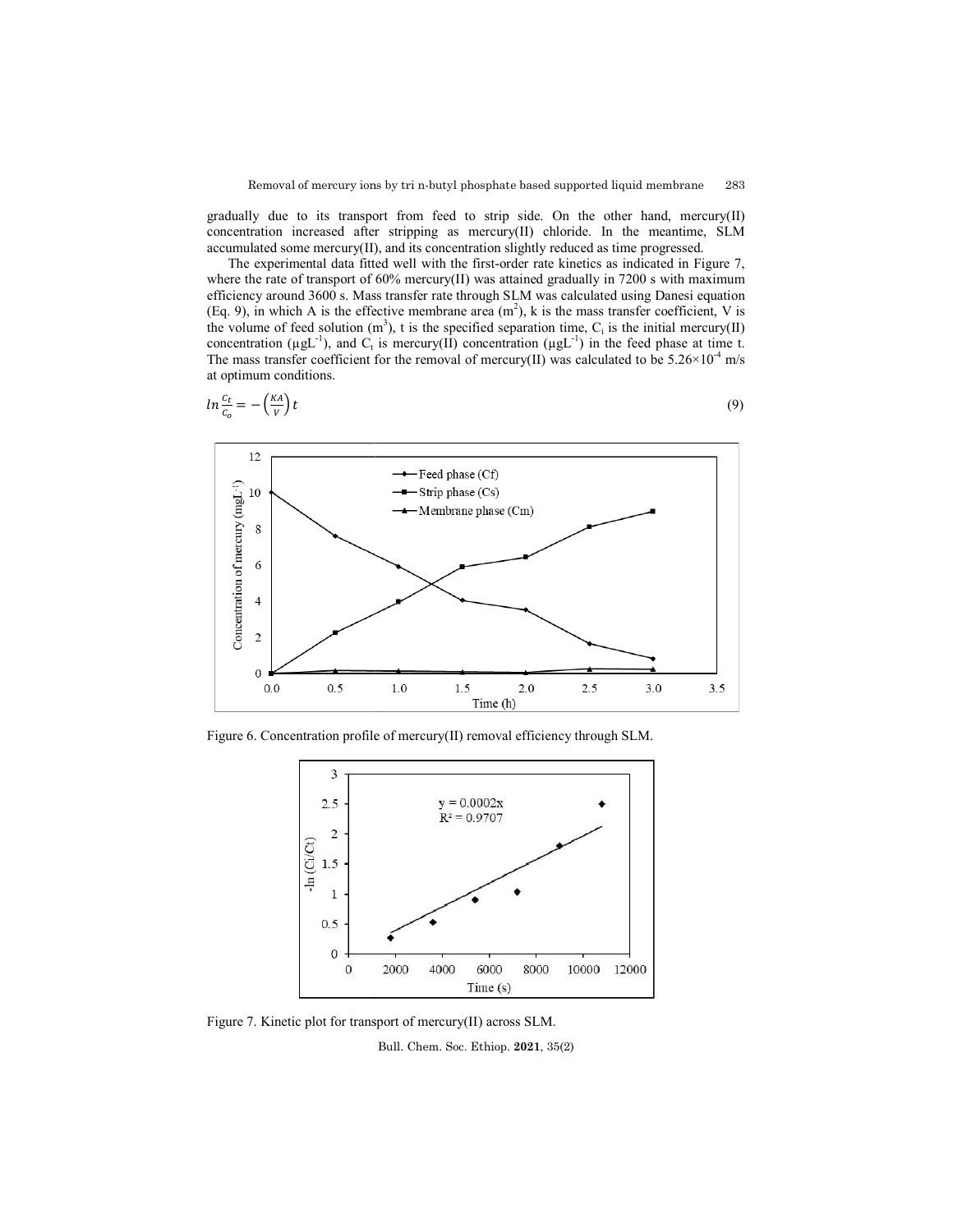gradually due to its transport from feed to strip side. On the other hand, mercury(II) concentration increased after stripping as mercury(II) chloride. In the meantime, SLM accumulated some mercury(II), and its concentration slightly reduced as time progressed.

The experimental data fitted well with the first-order rate kinetics as indicated in Figure 7, where the rate of transport of  $60\%$  mercury(II) was attained gradually in 7200 s with maximum efficiency around 3600 s. Mass transfer rate through SLM was calculated using Danesi equation (Eq. 9), in which A is the effective membrane area  $(m^2)$ , k is the mass transfer coefficient, V is the volume of feed solution  $(m^3)$ , t is the specified separation time,  $C_i$  is the initial mercury concentration ( $\mu g L^{-1}$ ), and C<sub>t</sub> is mercury(II) concentration ( $\mu g L^{-1}$ ) in the feed phase at time t. The mass transfer coefficient for the removal of mercury(II) was calculated to be  $5.26 \times 10^{-4}$  m/s at optimum conditions. Mass transfer rate through SLM was calculated using Danesi equation effective membrane area  $(m^2)$ , k is the mass transfer coefficient, V is on  $(m^3)$ , t is the specified separation time, C<sub>i</sub> is the initial mercury(II)





Figure 6. Concentration profile of mercury(II) removal efficiency through SLM.



Figure 7. Kinetic plot for transport of mercury(II) across SLM. Bull. Chem. Soc. Ethiop. **2021**, 35(2)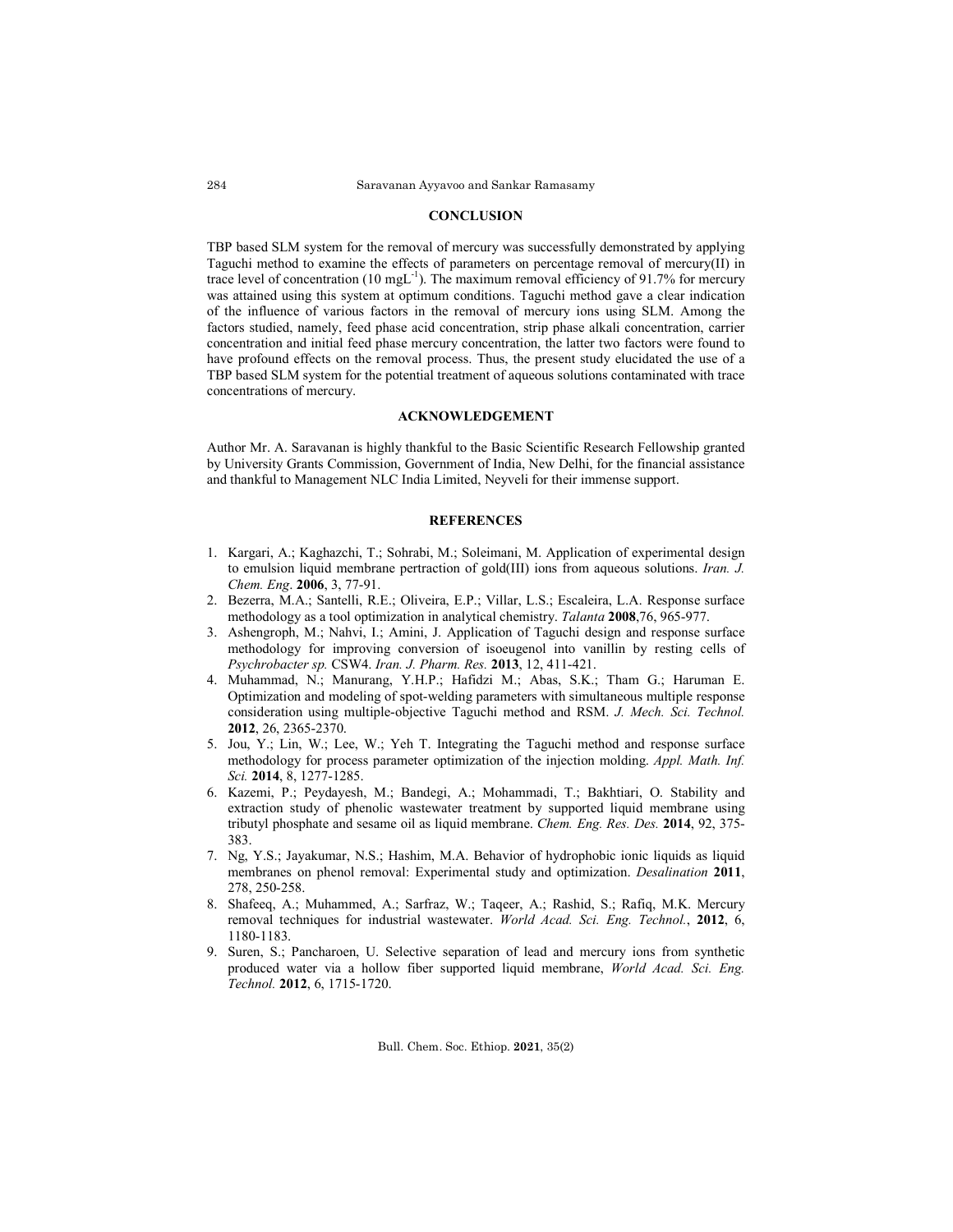### **CONCLUSION**

TBP based SLM system for the removal of mercury was successfully demonstrated by applying Taguchi method to examine the effects of parameters on percentage removal of mercury(II) in trace level of concentration (10 mgL<sup>-1</sup>). The maximum removal efficiency of 91.7% for mercury was attained using this system at optimum conditions. Taguchi method gave a clear indication of the influence of various factors in the removal of mercury ions using SLM. Among the factors studied, namely, feed phase acid concentration, strip phase alkali concentration, carrier concentration and initial feed phase mercury concentration, the latter two factors were found to have profound effects on the removal process. Thus, the present study elucidated the use of a TBP based SLM system for the potential treatment of aqueous solutions contaminated with trace concentrations of mercury.

### **ACKNOWLEDGEMENT**

Author Mr. A. Saravanan is highly thankful to the Basic Scientific Research Fellowship granted by University Grants Commission, Government of India, New Delhi, for the financial assistance and thankful to Management NLC India Limited, Neyveli for their immense support.

# **REFERENCES**

- 1. Kargari, A.; Kaghazchi, T.; Sohrabi, M.; Soleimani, M. Application of experimental design to emulsion liquid membrane pertraction of gold(III) ions from aqueous solutions. *Iran. J. Chem. Eng*. **2006**, 3, 77-91.
- 2. Bezerra, M.A.; Santelli, R.E.; Oliveira, E.P.; Villar, L.S.; Escaleira, L.A. Response surface methodology as a tool optimization in analytical chemistry. *Talanta* **2008**,76, 965-977.
- 3. Ashengroph, M.; Nahvi, I.; Amini, J. Application of Taguchi design and response surface methodology for improving conversion of isoeugenol into vanillin by resting cells of *Psychrobacter sp.* CSW4. *Iran. J. Pharm. Res.* **2013**, 12, 411-421.
- 4. Muhammad, N.; Manurang, Y.H.P.; Hafidzi M.; Abas, S.K.; Tham G.; Haruman E. Optimization and modeling of spot-welding parameters with simultaneous multiple response consideration using multiple-objective Taguchi method and RSM. *J. Mech. Sci. Technol.* **2012**, 26, 2365-2370.
- 5. Jou, Y.; Lin, W.; Lee, W.; Yeh T. Integrating the Taguchi method and response surface methodology for process parameter optimization of the injection molding. *Appl. Math. Inf. Sci.* **2014**, 8, 1277-1285.
- 6. Kazemi, P.; Peydayesh, M.; Bandegi, A.; Mohammadi, T.; Bakhtiari, O. Stability and extraction study of phenolic wastewater treatment by supported liquid membrane using tributyl phosphate and sesame oil as liquid membrane. *Chem. Eng. Res. Des.* **2014**, 92, 375- 383.
- 7. Ng, Y.S.; Jayakumar, N.S.; Hashim, M.A. Behavior of hydrophobic ionic liquids as liquid membranes on phenol removal: Experimental study and optimization. *Desalination* **2011**, 278, 250-258.
- 8. Shafeeq, A.; Muhammed, A.; Sarfraz, W.; Taqeer, A.; Rashid, S.; Rafiq, M.K. Mercury removal techniques for industrial wastewater. *World Acad. Sci. Eng. Technol.*, **2012**, 6, 1180-1183.
- 9. Suren, S.; Pancharoen, U. Selective separation of lead and mercury ions from synthetic produced water via a hollow fiber supported liquid membrane, *World Acad. Sci. Eng. Technol.* **2012**, 6, 1715-1720.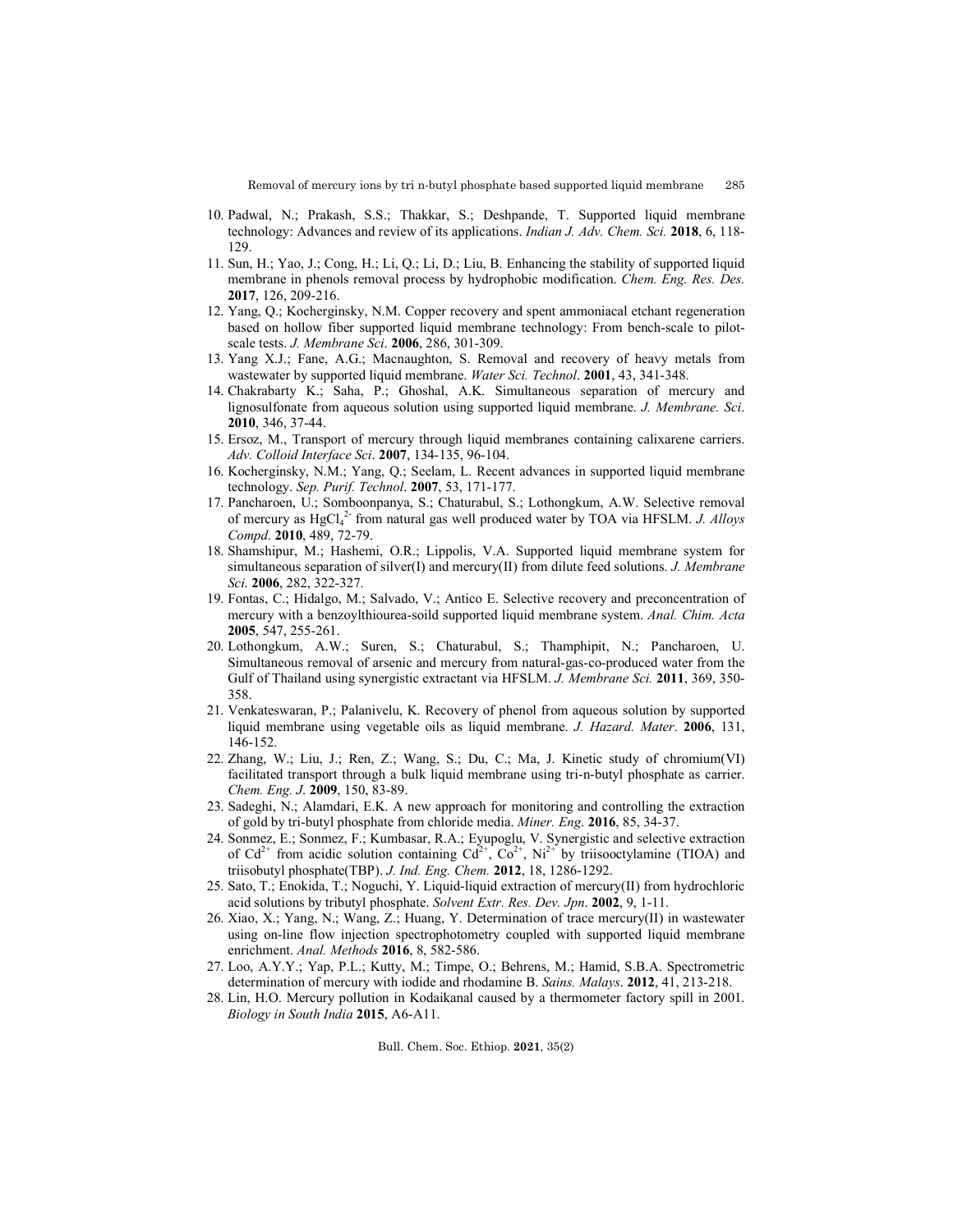- 10. Padwal, N.; Prakash, S.S.; Thakkar, S.; Deshpande, T. Supported liquid membrane technology: Advances and review of its applications. *Indian J. Adv. Chem. Sci.* **2018**, 6, 118- 129.
- 11. Sun, H.; Yao, J.; Cong, H.; Li, Q.; Li, D.; Liu, B. Enhancing the stability of supported liquid membrane in phenols removal process by hydrophobic modification. *Chem. Eng. Res. Des.* **2017**, 126, 209-216.
- 12. Yang, Q.; Kocherginsky, N.M. Copper recovery and spent ammoniacal etchant regeneration based on hollow fiber supported liquid membrane technology: From bench-scale to pilotscale tests. *J. Membrane Sci*. **2006**, 286, 301-309.
- 13. Yang X.J.; Fane, A.G.; Macnaughton, S. Removal and recovery of heavy metals from wastewater by supported liquid membrane. *Water Sci. Technol*. **2001**, 43, 341-348.
- 14. Chakrabarty K.; Saha, P.; Ghoshal, A.K. Simultaneous separation of mercury and lignosulfonate from aqueous solution using supported liquid membrane. *J. Membrane. Sci*. **2010**, 346, 37-44.
- 15. Ersoz, M., Transport of mercury through liquid membranes containing calixarene carriers. *Adv. Colloid Interface Sci*. **2007**, 134-135, 96-104.
- 16. Kocherginsky, N.M.; Yang, Q.; Seelam, L. Recent advances in supported liquid membrane technology. *Sep. Purif. Technol*. **2007**, 53, 171-177.
- 17. Pancharoen, U.; Somboonpanya, S.; Chaturabul, S.; Lothongkum, A.W. Selective removal of mercury as HgCl<sub>4</sub><sup>2</sup> from natural gas well produced water by TOA via HFSLM. *J. Alloys Compd*. **2010**, 489, 72-79.
- 18. Shamshipur, M.; Hashemi, O.R.; Lippolis, V.A. Supported liquid membrane system for simultaneous separation of silver(I) and mercury(II) from dilute feed solutions. *J. Membrane Sci*. **2006**, 282, 322-327.
- 19. Fontas, C.; Hidalgo, M.; Salvado, V.; Antico E. Selective recovery and preconcentration of mercury with a benzoylthiourea-soild supported liquid membrane system. *Anal. Chim. Acta* **2005**, 547, 255-261.
- 20. Lothongkum, A.W.; Suren, S.; Chaturabul, S.; Thamphipit, N.; Pancharoen, U. Simultaneous removal of arsenic and mercury from natural-gas-co-produced water from the Gulf of Thailand using synergistic extractant via HFSLM. *J. Membrane Sci.* **2011**, 369, 350- 358.
- 21. Venkateswaran, P.; Palanivelu, K. Recovery of phenol from aqueous solution by supported liquid membrane using vegetable oils as liquid membrane. *J. Hazard. Mater*. **2006**, 131, 146-152.
- 22. Zhang, W.; Liu, J.; Ren, Z.; Wang, S.; Du, C.; Ma, J. Kinetic study of chromium(VI) facilitated transport through a bulk liquid membrane using tri-n-butyl phosphate as carrier. *Chem. Eng. J*. **2009**, 150, 83-89.
- 23. Sadeghi, N.; Alamdari, E.K. A new approach for monitoring and controlling the extraction of gold by tri-butyl phosphate from chloride media. *Miner. Eng*. **2016**, 85, 34-37.
- 24. Sonmez, E.; Sonmez, F.; Kumbasar, R.A.; Eyupoglu, V. Synergistic and selective extraction of  $Cd^{2+}$  from acidic solution containing  $Cd^{2+}$ ,  $Co^{2+}$ ,  $Ni^{2+}$  by triisooctylamine (TIOA) and triisobutyl phosphate(TBP). *J. Ind. Eng. Chem.* **2012**, 18, 1286-1292.
- 25. Sato, T.; Enokida, T.; Noguchi, Y. Liquid-liquid extraction of mercury(II) from hydrochloric acid solutions by tributyl phosphate. *Solvent Extr. Res. Dev. Jpn*. **2002**, 9, 1-11.
- 26. Xiao, X.; Yang, N.; Wang, Z.; Huang, Y. Determination of trace mercury(II) in wastewater using on-line flow injection spectrophotometry coupled with supported liquid membrane enrichment. *Anal. Methods* **2016**, 8, 582-586.
- 27. Loo, A.Y.Y.; Yap, P.L.; Kutty, M.; Timpe, O.; Behrens, M.; Hamid, S.B.A. Spectrometric determination of mercury with iodide and rhodamine B. *Sains. Malays*. **2012**, 41, 213-218.
- 28. Lin, H.O. Mercury pollution in Kodaikanal caused by a thermometer factory spill in 2001. *Biology in South India* **2015**, A6-A11.